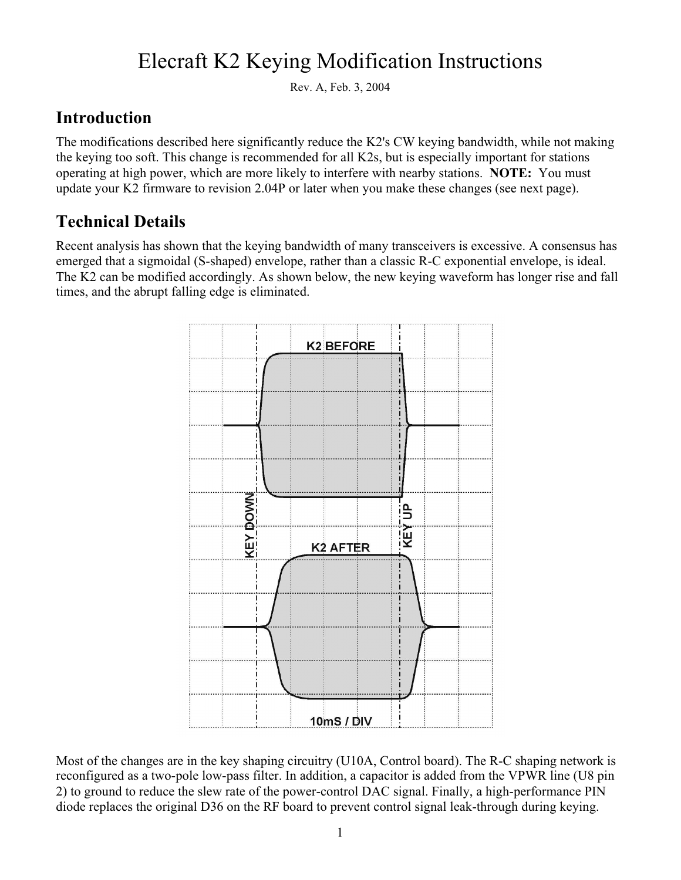# Elecraft K2 Keying Modification Instructions

Rev. A, Feb. 3, 2004

#### **Introduction**

The modifications described here significantly reduce the K2's CW keying bandwidth, while not making the keying too soft. This change is recommended for all K2s, but is especially important for stations operating at high power, which are more likely to interfere with nearby stations. **NOTE:** You must update your K2 firmware to revision 2.04P or later when you make these changes (see next page).

### **Technical Details**

Recent analysis has shown that the keying bandwidth of many transceivers is excessive. A consensus has emerged that a sigmoidal (S-shaped) envelope, rather than a classic R-C exponential envelope, is ideal. The K2 can be modified accordingly. As shown below, the new keying waveform has longer rise and fall times, and the abrupt falling edge is eliminated.



Most of the changes are in the key shaping circuitry (U10A, Control board). The R-C shaping network is reconfigured as a two-pole low-pass filter. In addition, a capacitor is added from the VPWR line (U8 pin 2) to ground to reduce the slew rate of the power-control DAC signal. Finally, a high-performance PIN diode replaces the original D36 on the RF board to prevent control signal leak-through during keying.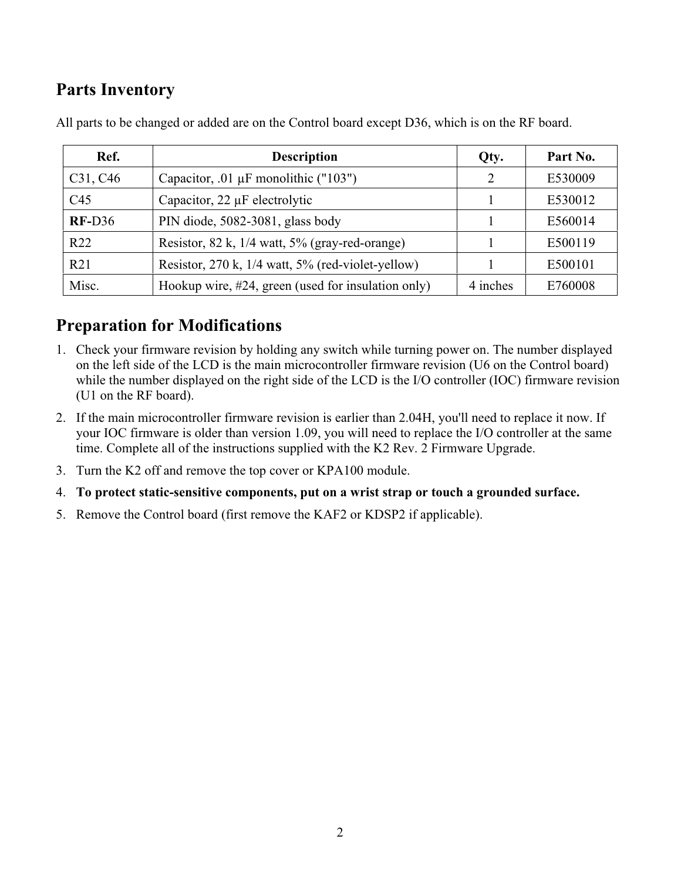### **Parts Inventory**

| Ref.                              | <b>Description</b>                                                | Qty.                        | Part No. |
|-----------------------------------|-------------------------------------------------------------------|-----------------------------|----------|
| C <sub>31</sub> , C <sub>46</sub> | Capacitor, .01 µF monolithic ("103")                              | $\mathcal{D}_{\mathcal{A}}$ | E530009  |
| C45                               | Capacitor, $22 \mu$ F electrolytic                                |                             | E530012  |
| $RF-D36$                          | PIN diode, 5082-3081, glass body                                  |                             | E560014  |
| R22                               | Resistor, 82 k, 1/4 watt, 5% (gray-red-orange)                    |                             | E500119  |
| R21                               | Resistor, $270 \text{ k}$ , $1/4$ watt, $5\%$ (red-violet-yellow) |                             | E500101  |
| Misc.                             | Hookup wire, #24, green (used for insulation only)                | 4 inches                    | E760008  |

All parts to be changed or added are on the Control board except D36, which is on the RF board.

#### **Preparation for Modifications**

- 1. Check your firmware revision by holding any switch while turning power on. The number displayed on the left side of the LCD is the main microcontroller firmware revision (U6 on the Control board) while the number displayed on the right side of the LCD is the I/O controller (IOC) firmware revision (U1 on the RF board).
- 2. If the main microcontroller firmware revision is earlier than 2.04H, you'll need to replace it now. If your IOC firmware is older than version 1.09, you will need to replace the I/O controller at the same time. Complete all of the instructions supplied with the K2 Rev. 2 Firmware Upgrade.
- 3. Turn the K2 off and remove the top cover or KPA100 module.
- 4. **To protect static-sensitive components, put on a wrist strap or touch a grounded surface.**
- 5. Remove the Control board (first remove the KAF2 or KDSP2 if applicable).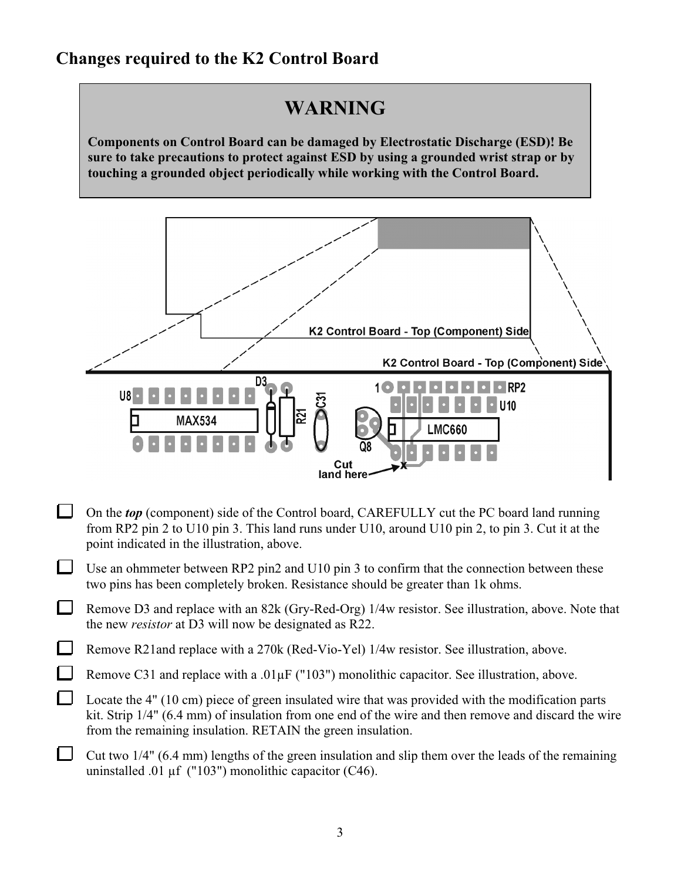#### **Changes required to the K2 Control Board**

## **WARNING**

**Components on Control Board can be damaged by Electrostatic Discharge (ESD)! Be sure to take precautions to protect against ESD by using a grounded wrist strap or by touching a grounded object periodically while working with the Control Board.**



- $\mathbf{L}$ On the *top* (component) side of the Control board, CAREFULLY cut the PC board land running from RP2 pin 2 to U10 pin 3. This land runs under U10, around U10 pin 2, to pin 3. Cut it at the point indicated in the illustration, above.
- $\Box$ Use an ohmmeter between RP2 pin2 and U10 pin 3 to confirm that the connection between these two pins has been completely broken. Resistance should be greater than 1k ohms.
- $\mathbf{I}$ Remove D3 and replace with an 82k (Gry-Red-Org) 1/4w resistor. See illustration, above. Note that the new *resistor* at D3 will now be designated as R22.

Remove R21and replace with a 270k (Red-Vio-Yel) 1/4w resistor. See illustration, above.

 $\mathbf{I}$ 

- Remove C31 and replace with a .01 $\mu$ F ("103") monolithic capacitor. See illustration, above.
- Locate the 4" (10 cm) piece of green insulated wire that was provided with the modification parts kit. Strip 1/4" (6.4 mm) of insulation from one end of the wire and then remove and discard the wire from the remaining insulation. RETAIN the green insulation.
- Cut two 1/4" (6.4 mm) lengths of the green insulation and slip them over the leads of the remaining uninstalled .01 µf ("103") monolithic capacitor (C46).